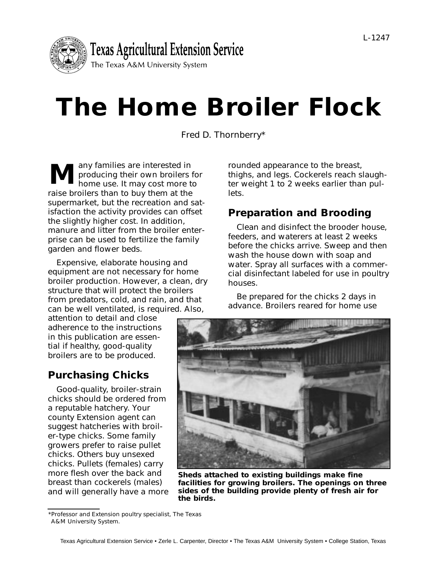

# **The Home Broiler Flock**

Fred D. Thornberry\*

any families are interested in producing their own broilers for home use. It may cost more to raise broilers than to buy them at the supermarket, but the recreation and satisfaction the activity provides can offset the slightly higher cost. In addition, manure and litter from the broiler enterprise can be used to fertilize the family garden and flower beds. **M**

Expensive, elaborate housing and equipment are not necessary for home broiler production. However, a clean, dry structure that will protect the broilers from predators, cold, and rain, and that can be well ventilated, is required. Also,

attention to detail and close adherence to the instructions in this publication are essential if healthy, good-quality broilers are to be produced.

# **Purchasing Chicks**

Good-quality, broiler-strain chicks should be ordered from a reputable hatchery. Your county Extension agent can suggest hatcheries with broiler-type chicks. Some family growers prefer to raise pullet chicks. Others buy unsexed chicks. Pullets (females) carry more flesh over the back and breast than cockerels (males) and will generally have a more rounded appearance to the breast, thighs, and legs. Cockerels reach slaughter weight 1 to 2 weeks earlier than pullets.

# **Preparation and Brooding**

Clean and disinfect the brooder house, feeders, and waterers at least 2 weeks before the chicks arrive. Sweep and then wash the house down with soap and water. Spray all surfaces with a commercial disinfectant labeled for use in poultry houses.

Be prepared for the chicks 2 days in advance. Broilers reared for home use



**Sheds attached to existing buildings make fine facilities for growing broilers. The openings on three sides of the building provide plenty of fresh air for the birds.**

<sup>\*</sup>Professor and Extension poultry specialist, The Texas A&M University System.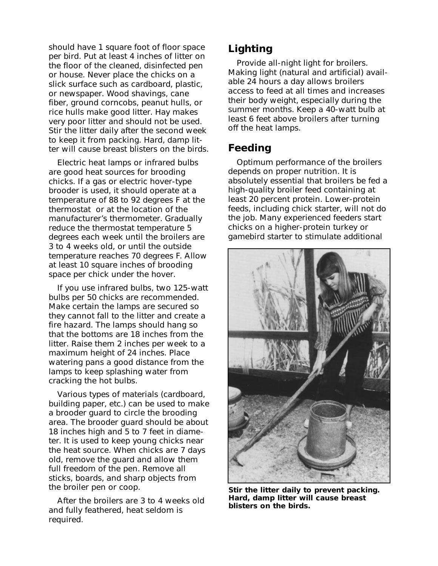should have 1 square foot of floor space per bird. Put at least 4 inches of litter on the floor of the cleaned, disinfected pen or house. Never place the chicks on a slick surface such as cardboard, plastic, or newspaper. Wood shavings, cane fiber, ground corncobs, peanut hulls, or rice hulls make good litter. Hay makes very poor litter and should not be used. Stir the litter daily after the second week to keep it from packing. Hard, damp litter will cause breast blisters on the birds.

Electric heat lamps or infrared bulbs are good heat sources for brooding chicks. If a gas or electric hover-type brooder is used, it should operate at a temperature of 88 to 92 degrees F at the thermostat or at the location of the manufacturer's thermometer. Gradually reduce the thermostat temperature 5 degrees each week until the broilers are 3 to 4 weeks old, or until the outside temperature reaches 70 degrees F. Allow at least 10 square inches of brooding space per chick under the hover.

If you use infrared bulbs, two 125-watt bulbs per 50 chicks are recommended. Make certain the lamps are secured so they cannot fall to the litter and create a fire hazard. The lamps should hang so that the bottoms are 18 inches from the litter. Raise them 2 inches per week to a maximum height of 24 inches. Place watering pans a good distance from the lamps to keep splashing water from cracking the hot bulbs.

Various types of materials (cardboard, building paper, etc.) can be used to make a brooder guard to circle the brooding area. The brooder guard should be about 18 inches high and 5 to 7 feet in diameter. It is used to keep young chicks near the heat source. When chicks are 7 days old, remove the guard and allow them full freedom of the pen. Remove all sticks, boards, and sharp objects from the broiler pen or coop.

After the broilers are 3 to 4 weeks old and fully feathered, heat seldom is required.

## **Lighting**

Provide all-night light for broilers. Making light (natural and artificial) available 24 hours a day allows broilers access to feed at all times and increases their body weight, especially during the summer months. Keep a 40-watt bulb at least 6 feet above broilers after turning off the heat lamps.

### **Feeding**

Optimum performance of the broilers depends on proper nutrition. It is absolutely essential that broilers be fed a high-quality broiler feed containing at least 20 percent protein. Lower-protein feeds, including chick starter, will not do the job. Many experienced feeders start chicks on a higher-protein turkey or gamebird starter to stimulate additional



**Stir the litter daily to prevent packing. Hard, damp litter will cause breast blisters on the birds.**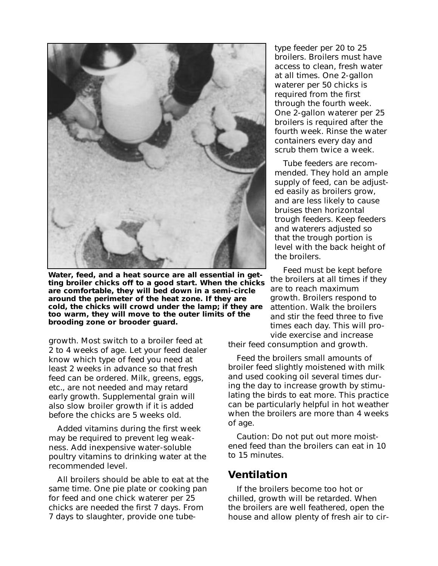

**Water, feed, and a heat source are all essential in getting broiler chicks off to a good start. When the chicks are comfortable, they will bed down in a semi-circle around the perimeter of the heat zone. If they are cold, the chicks will crowd under the lamp; if they are too warm, they will move to the outer limits of the brooding zone or brooder guard.**

growth. Most switch to a broiler feed at 2 to 4 weeks of age. Let your feed dealer know which type of feed you need at least 2 weeks in advance so that fresh feed can be ordered. Milk, greens, eggs, etc., are not needed and may retard early growth. Supplemental grain will also slow broiler growth if it is added before the chicks are 5 weeks old.

Added vitamins during the first week may be required to prevent leg weakness. Add inexpensive water-soluble poultry vitamins to drinking water at the recommended level.

All broilers should be able to eat at the same time. One pie plate or cooking pan for feed and one chick waterer per 25 chicks are needed the first 7 days. From 7 days to slaughter, provide one tubetype feeder per 20 to 25 broilers. Broilers must have access to clean, fresh water at all times. One 2-gallon waterer per 50 chicks is required from the first through the fourth week. One 2-gallon waterer per 25 broilers is required after the fourth week. Rinse the water containers every day and scrub them twice a week.

Tube feeders are recommended. They hold an ample supply of feed, can be adjusted easily as broilers grow, and are less likely to cause bruises then horizontal trough feeders. Keep feeders and waterers adjusted so that the trough portion is level with the back height of the broilers.

Feed must be kept before the broilers at all times if they are to reach maximum growth. Broilers respond to attention. Walk the broilers and stir the feed three to five times each day. This will provide exercise and increase

their feed consumption and growth.

Feed the broilers small amounts of broiler feed slightly moistened with milk and used cooking oil several times during the day to increase growth by stimulating the birds to eat more. This practice can be particularly helpful in hot weather when the broilers are more than 4 weeks of age.

Caution: Do not put out more moistened feed than the broilers can eat in 10 to 15 minutes.

#### **Ventilation**

If the broilers become too hot or chilled, growth will be retarded. When the broilers are well feathered, open the house and allow plenty of fresh air to cir